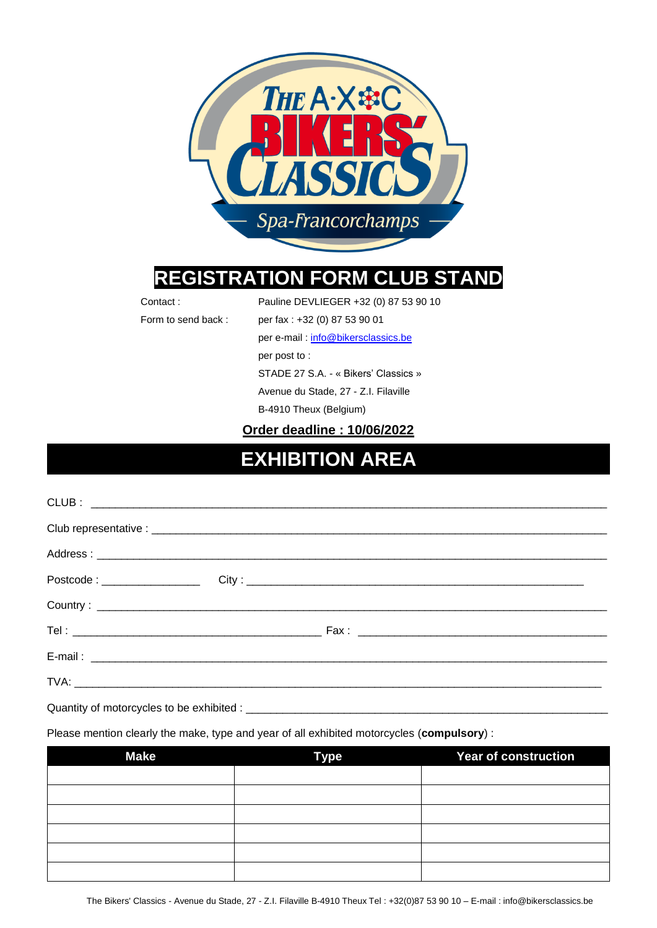

# **REGISTRATION FORM CLUB STAND**

Contact : Pauline DEVLIEGER +32 (0) 87 53 90 10

Form to send back : per fax : +32 (0) 87 53 90 01

per e-mail [: info@bikersclassics.be](mailto:cl@dgsport.eu)

per post to :

STADE 27 S.A. - « Bikers' Classics »

Avenue du Stade, 27 - Z.I. Filaville

B-4910 Theux (Belgium)

**Order deadline : 10/06/2022**

# **EXHIBITION AREA**

| Postcode : _________________                               |  |  |
|------------------------------------------------------------|--|--|
|                                                            |  |  |
|                                                            |  |  |
|                                                            |  |  |
|                                                            |  |  |
| 그 사람들은 그 사람들은 그 사람들은 아이들을 만들어 보이는 것이 아니라 아이들이 아니라 아이들이 있다. |  |  |

Quantity of motorcycles to be exhibited :

Please mention clearly the make, type and year of all exhibited motorcycles (**compulsory**) :

| <b>Make</b> | <b>Type</b> | Year of construction |
|-------------|-------------|----------------------|
|             |             |                      |
|             |             |                      |
|             |             |                      |
|             |             |                      |
|             |             |                      |
|             |             |                      |